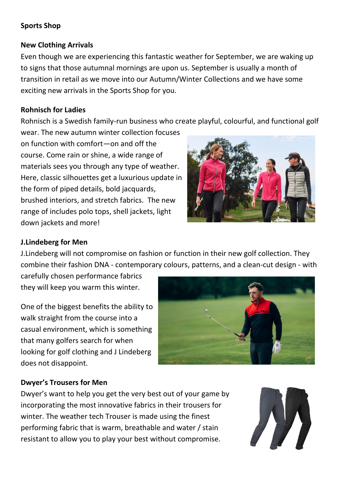#### **Sports Shop**

#### **New Clothing Arrivals**

Even though we are experiencing this fantastic weather for September, we are waking up to signs that those autumnal mornings are upon us. September is usually a month of transition in retail as we move into our Autumn/Winter Collections and we have some exciting new arrivals in the Sports Shop for you.

#### **Rohnisch for Ladies**

Rohnisch is a Swedish family-run business who create playful, colourful, and functional golf

wear. The new autumn winter collection focuses on function with comfort—on and off the course. Come rain or shine, a wide range of materials sees you through any type of weather. Here, classic silhouettes get a luxurious update in the form of piped details, bold jacquards, brushed interiors, and stretch fabrics. The new range of includes polo tops, shell jackets, light down jackets and more!



#### **J.Lindeberg for Men**

J.Lindeberg will not compromise on fashion or function in their new golf collection. They combine their fashion DNA - contemporary colours, patterns, and a clean-cut design - with

carefully chosen performance fabrics they will keep you warm this winter.

One of the biggest benefits the ability to walk straight from the course into a casual environment, which is something that many golfers search for when looking for golf clothing and J Lindeberg does not disappoint.



# **Dwyer's Trousers for Men**

Dwyer's want to help you get the very best out of your game by incorporating the most innovative fabrics in their trousers for winter. The weather tech Trouser is made using the finest performing fabric that is warm, breathable and water / stain resistant to allow you to play your best without compromise.

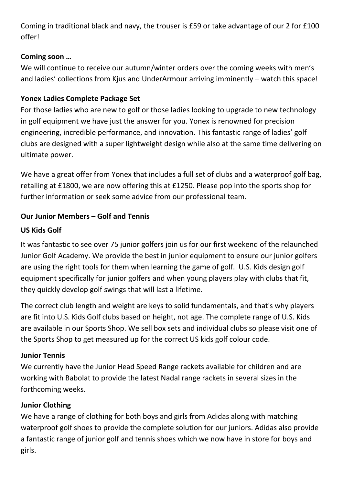Coming in traditional black and navy, the trouser is £59 or take advantage of our 2 for £100 offer!

### **Coming soon …**

We will continue to receive our autumn/winter orders over the coming weeks with men's and ladies' collections from Kius and UnderArmour arriving imminently – watch this space!

### **Yonex Ladies Complete Package Set**

For those ladies who are new to golf or those ladies looking to upgrade to new technology in golf equipment we have just the answer for you. Yonex is renowned for precision engineering, incredible performance, and innovation. This fantastic range of ladies' golf clubs are designed with a super lightweight design while also at the same time delivering on ultimate power.

We have a great offer from Yonex that includes a full set of clubs and a waterproof golf bag, retailing at £1800, we are now offering this at £1250. Please pop into the sports shop for further information or seek some advice from our professional team.

# **Our Junior Members – Golf and Tennis**

## **US Kids Golf**

It was fantastic to see over 75 junior golfers join us for our first weekend of the relaunched Junior Golf Academy. We provide the best in junior equipment to ensure our junior golfers are using the right tools for them when learning the game of golf. U.S. Kids design golf equipment specifically for junior golfers and when young players play with clubs that fit, they quickly develop golf swings that will last a lifetime.

The correct club length and weight are keys to solid fundamentals, and that's why players are fit into U.S. Kids Golf clubs based on height, not age. The complete range of U.S. Kids are available in our Sports Shop. We sell box sets and individual clubs so please visit one of the Sports Shop to get measured up for the correct US kids golf colour code.

# **Junior Tennis**

We currently have the Junior Head Speed Range rackets available for children and are working with Babolat to provide the latest Nadal range rackets in several sizes in the forthcoming weeks.

# **Junior Clothing**

We have a range of clothing for both boys and girls from Adidas along with matching waterproof golf shoes to provide the complete solution for our juniors. Adidas also provide a fantastic range of junior golf and tennis shoes which we now have in store for boys and girls.